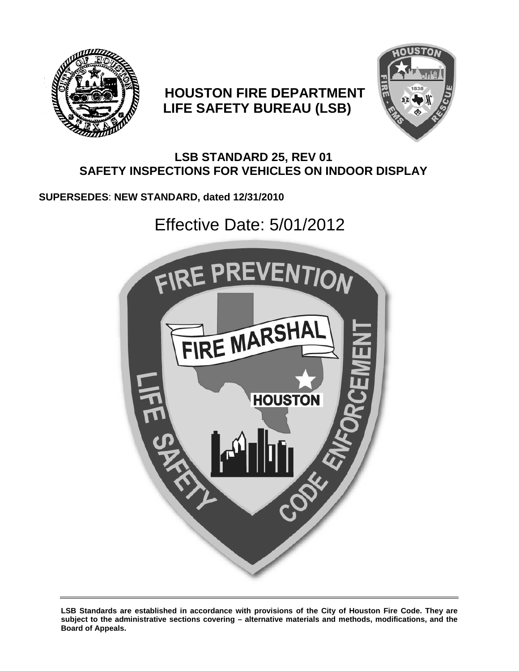

# **HOUSTON FIRE DEPARTMENT LIFE SAFETY BUREAU (LSB)**



## **LSB STANDARD 25, REV 01 SAFETY INSPECTIONS FOR VEHICLES ON INDOOR DISPLAY**

## **SUPERSEDES**: **NEW STANDARD, dated 12/31/2010**

# Effective Date: 5/01/2012



**LSB Standards are established in accordance with provisions of the City of Houston Fire Code. They are subject to the administrative sections covering – alternative materials and methods, modifications, and the Board of Appeals.**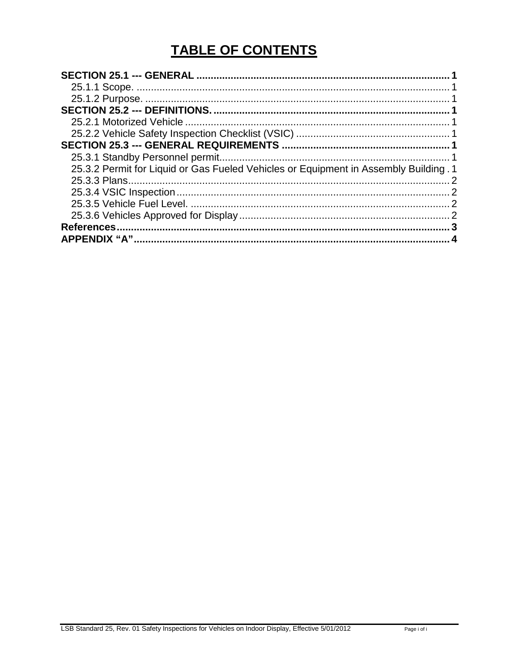# **TABLE OF CONTENTS**

| 25.3.2 Permit for Liquid or Gas Fueled Vehicles or Equipment in Assembly Building . 1<br><b>References</b> |  |
|------------------------------------------------------------------------------------------------------------|--|
|                                                                                                            |  |
|                                                                                                            |  |
|                                                                                                            |  |
|                                                                                                            |  |
|                                                                                                            |  |
|                                                                                                            |  |
|                                                                                                            |  |
|                                                                                                            |  |
|                                                                                                            |  |
|                                                                                                            |  |
|                                                                                                            |  |
|                                                                                                            |  |
|                                                                                                            |  |
|                                                                                                            |  |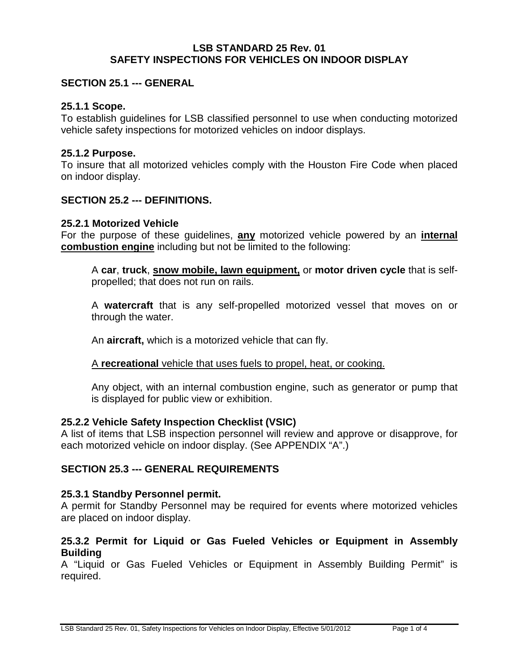#### **LSB STANDARD 25 Rev. 01 SAFETY INSPECTIONS FOR VEHICLES ON INDOOR DISPLAY**

#### <span id="page-2-0"></span>**SECTION 25.1 --- GENERAL**

#### <span id="page-2-1"></span>**25.1.1 Scope.**

To establish guidelines for LSB classified personnel to use when conducting motorized vehicle safety inspections for motorized vehicles on indoor displays.

#### <span id="page-2-2"></span>**25.1.2 Purpose.**

To insure that all motorized vehicles comply with the Houston Fire Code when placed on indoor display.

#### <span id="page-2-3"></span>**SECTION 25.2 --- DEFINITIONS.**

#### <span id="page-2-4"></span>**25.2.1 Motorized Vehicle**

For the purpose of these guidelines, **any** motorized vehicle powered by an **internal combustion engine** including but not be limited to the following:

A **car**, **truck**, **snow mobile, lawn equipment,** or **motor driven cycle** that is selfpropelled; that does not run on rails.

A **watercraft** that is any self-propelled motorized vessel that moves on or through the water.

An **aircraft,** which is a motorized vehicle that can fly.

#### A **recreational** vehicle that uses fuels to propel, heat, or cooking.

Any object, with an internal combustion engine, such as generator or pump that is displayed for public view or exhibition.

#### <span id="page-2-5"></span>**25.2.2 Vehicle Safety Inspection Checklist (VSIC)**

A list of items that LSB inspection personnel will review and approve or disapprove, for each motorized vehicle on indoor display. (See APPENDIX "A".)

#### <span id="page-2-6"></span>**SECTION 25.3 --- GENERAL REQUIREMENTS**

#### <span id="page-2-7"></span>**25.3.1 Standby Personnel permit.**

A permit for Standby Personnel may be required for events where motorized vehicles are placed on indoor display.

#### <span id="page-2-8"></span>**25.3.2 Permit for Liquid or Gas Fueled Vehicles or Equipment in Assembly Building**

A "Liquid or Gas Fueled Vehicles or Equipment in Assembly Building Permit" is required.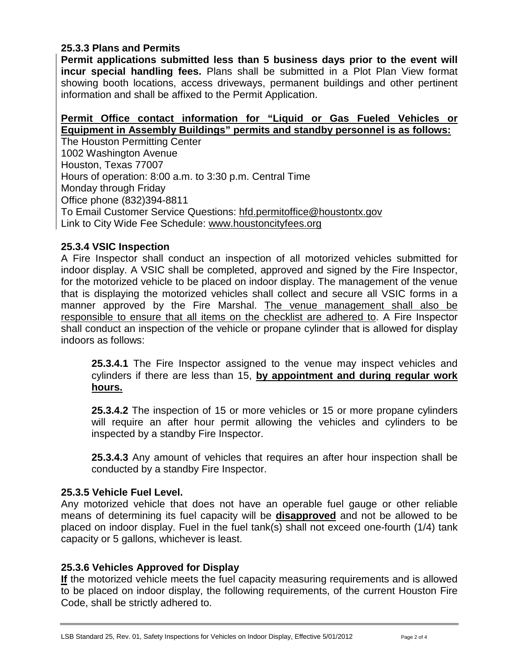#### <span id="page-3-0"></span>**25.3.3 Plans and Permits**

**Permit applications submitted less than 5 business days prior to the event will incur special handling fees.** Plans shall be submitted in a Plot Plan View format showing booth locations, access driveways, permanent buildings and other pertinent information and shall be affixed to the Permit Application.

#### **Permit Office contact information for "Liquid or Gas Fueled Vehicles or Equipment in Assembly Buildings" permits and standby personnel is as follows:**

The Houston Permitting Center 1002 Washington Avenue Houston, Texas 77007 Hours of operation: 8:00 a.m. to 3:30 p.m. Central Time Monday through Friday Office phone (832)394-8811 To Email Customer Service Questions: [hfd.permitoffice@houstontx.gov](mailto:hfd.permitoffice@houstontx.gov) Link to City Wide Fee Schedule: [www.houstoncityfees.org](http://www.houstoncityfees.org/)

### <span id="page-3-1"></span>**25.3.4 VSIC Inspection**

A Fire Inspector shall conduct an inspection of all motorized vehicles submitted for indoor display. A VSIC shall be completed, approved and signed by the Fire Inspector, for the motorized vehicle to be placed on indoor display. The management of the venue that is displaying the motorized vehicles shall collect and secure all VSIC forms in a manner approved by the Fire Marshal. The venue management shall also be responsible to ensure that all items on the checklist are adhered to. A Fire Inspector shall conduct an inspection of the vehicle or propane cylinder that is allowed for display indoors as follows:

**25.3.4.1** The Fire Inspector assigned to the venue may inspect vehicles and cylinders if there are less than 15, **by appointment and during regular work hours.** 

**25.3.4.2** The inspection of 15 or more vehicles or 15 or more propane cylinders will require an after hour permit allowing the vehicles and cylinders to be inspected by a standby Fire Inspector.

**25.3.4.3** Any amount of vehicles that requires an after hour inspection shall be conducted by a standby Fire Inspector.

#### <span id="page-3-2"></span>**25.3.5 Vehicle Fuel Level.**

Any motorized vehicle that does not have an operable fuel gauge or other reliable means of determining its fuel capacity will be **disapproved** and not be allowed to be placed on indoor display. Fuel in the fuel tank(s) shall not exceed one-fourth (1/4) tank capacity or 5 gallons, whichever is least.

### <span id="page-3-3"></span>**25.3.6 Vehicles Approved for Display**

**If** the motorized vehicle meets the fuel capacity measuring requirements and is allowed to be placed on indoor display, the following requirements, of the current Houston Fire Code, shall be strictly adhered to.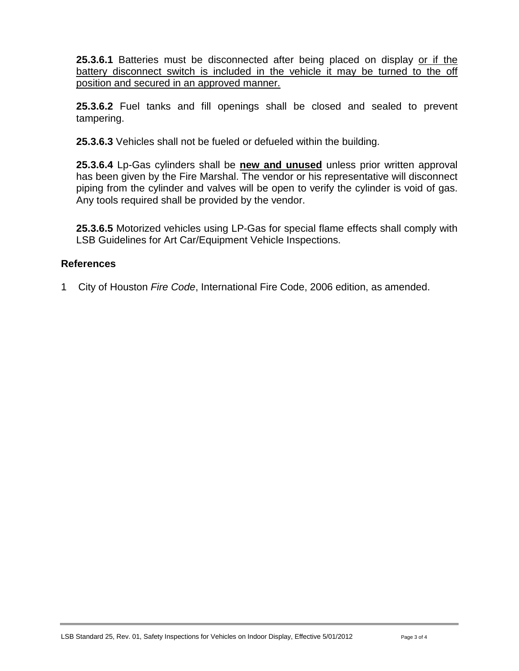**25.3.6.1** Batteries must be disconnected after being placed on display or if the battery disconnect switch is included in the vehicle it may be turned to the off position and secured in an approved manner.

**25.3.6.2** Fuel tanks and fill openings shall be closed and sealed to prevent tampering.

**25.3.6.3** Vehicles shall not be fueled or defueled within the building.

**25.3.6.4** Lp-Gas cylinders shall be **new and unused** unless prior written approval has been given by the Fire Marshal. The vendor or his representative will disconnect piping from the cylinder and valves will be open to verify the cylinder is void of gas. Any tools required shall be provided by the vendor.

**25.3.6.5** Motorized vehicles using LP-Gas for special flame effects shall comply with LSB Guidelines for Art Car/Equipment Vehicle Inspections.

### <span id="page-4-0"></span>**References**

1 City of Houston *Fire Code*, International Fire Code, 2006 edition, as amended.